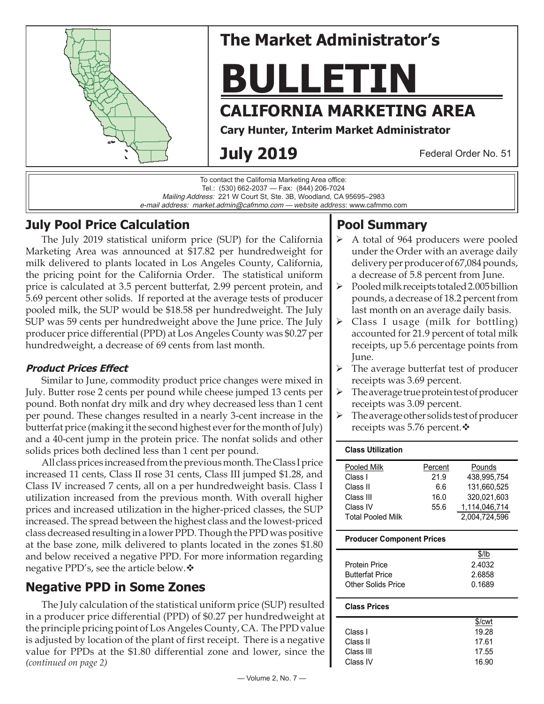

# **The Market Administrator's**

**BULLETIN**

# **CALIFORNIA MARKETING AREA**

**Cary Hunter, Interim Market Administrator**

# **July 2019**

Federal Order No. 51

To contact the California Marketing Area office: Tel.: (530) 662-2037 — Fax: (844) 206-7024 Mailing Address: 221 W Court St, Ste. 3B, Woodland, CA 95695–2983 e-mail address: market.admin@cafmmo.com — *website address*: www.cafmmo.com

# **July Pool Price Calculation**

The July 2019 statistical uniform price (SUP) for the California Marketing Area was announced at \$17.82 per hundredweight for milk delivered to plants located in Los Angeles County, California, the pricing point for the California Order. The statistical uniform price is calculated at 3.5 percent butterfat, 2.99 percent protein, and 5.69 percent other solids. If reported at the average tests of producer pooled milk, the SUP would be \$18.58 per hundredweight. The July SUP was 59 cents per hundredweight above the June price. The July producer price differential (PPD) at Los Angeles County was \$0.27 per hundredweight, a decrease of 69 cents from last month.

### **Product Prices Effect**

Similar to June, commodity product price changes were mixed in July. Butter rose 2 cents per pound while cheese jumped 13 cents per pound. Both nonfat dry milk and dry whey decreased less than 1 cent per pound. These changes resulted in a nearly 3-cent increase in the butterfat price (making it the second highest ever for the month of July) and a 40-cent jump in the protein price. The nonfat solids and other solids prices both declined less than 1 cent per pound.

All class prices increased from the previous month. The Class I price increased 11 cents, Class II rose 31 cents, Class III jumped \$1.28, and Class IV increased 7 cents, all on a per hundredweight basis. Class I utilization increased from the previous month. With overall higher prices and increased utilization in the higher-priced classes, the SUP increased. The spread between the highest class and the lowest-priced class decreased resulting in a lower PPD. Though the PPD was positive at the base zone, milk delivered to plants located in the zones \$1.80 and below received a negative PPD. For more information regarding negative PPD's, see the article below. ❖

# **Negative PPD in Some Zones**

*(continued on page 2)* The July calculation of the statistical uniform price (SUP) resulted in a producer price differential (PPD) of \$0.27 per hundredweight at the principle pricing point of Los Angeles County, CA. The PPD value is adjusted by location of the plant of first receipt. There is a negative value for PPDs at the \$1.80 differential zone and lower, since the

# **Pool Summary**

- A total of 964 producers were pooled under the Order with an average daily delivery per producer of 67,084 pounds, a decrease of 5.8 percent from June.
- $\triangleright$  Pooled milk receipts totaled 2.005 billion pounds, a decrease of 18.2 percent from last month on an average daily basis.
- $\triangleright$  Class I usage (milk for bottling) accounted for 21.9 percent of total milk receipts, up 5.6 percentage points from June.
- $\triangleright$  The average butterfat test of producer receipts was 3.69 percent.
- The average true protein test of producer receipts was 3.09 percent.
- $\triangleright$  The average other solids test of producer receipts was 5.76 percent. ❖

#### **Class Utilization**

| Percent | Pounds        |
|---------|---------------|
| 21.9    | 438.995.754   |
| 6.6     | 131.660.525   |
| 16.0    | 320,021,603   |
| 55.6    | 1,114,046,714 |
|         | 2,004,724,596 |
|         |               |

#### **Producer Component Prices**

|                        | \$/lb  |
|------------------------|--------|
| Protein Price          | 2.4032 |
| <b>Butterfat Price</b> | 2.6858 |
| Other Solids Price     | 0.1689 |
|                        |        |

#### **Class Prices**

|           | \$/cwt |
|-----------|--------|
| Class L   | 19.28  |
| Class II  | 17.61  |
| Class III | 17.55  |
| Class IV  | 16.90  |
|           |        |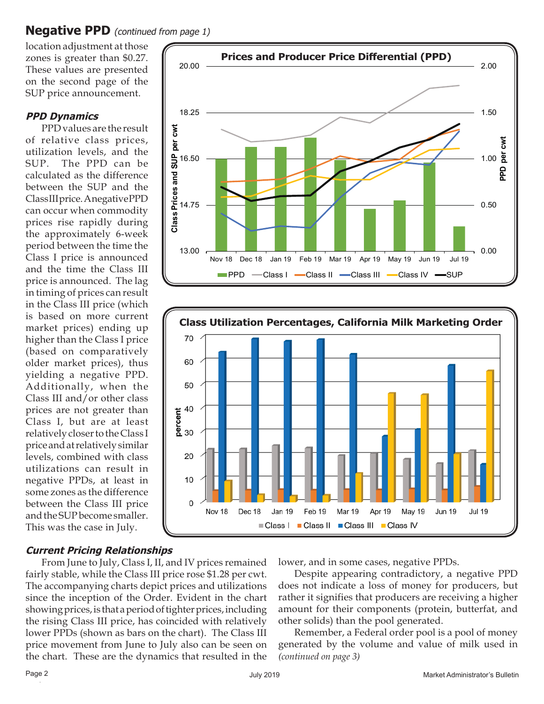### **Negative PPD** (continued from page 1)

location adjustment at those zones is greater than \$0.27. These values are presented on the second page of the SUP price announcement.

#### **PPD Dynamics**

PPD values are the result of relative class prices, utilization levels, and the SUP. The PPD can be calculated as the difference between the SUP and the Class III price. A negative PPD can occur when commodity prices rise rapidly during the approximately 6-week period between the time the Class I price is announced and the time the Class III price is announced. The lag in timing of prices can result in the Class III price (which is based on more current market prices) ending up higher than the Class I price (based on comparatively older market prices), thus yielding a negative PPD. Additionally, when the Class III and/or other class prices are not greater than Class I, but are at least relatively closer to the Class I price and at relatively similar levels, combined with class utilizations can result in negative PPDs, at least in some zones as the difference between the Class III price and the SUP become smaller. This was the case in July.





### **Current Pricing Relationships**

From June to July, Class I, II, and IV prices remained fairly stable, while the Class III price rose \$1.28 per cwt. The accompanying charts depict prices and utilizations since the inception of the Order. Evident in the chart showing prices, is that a period of tighter prices, including the rising Class III price, has coincided with relatively lower PPDs (shown as bars on the chart). The Class III price movement from June to July also can be seen on the chart. These are the dynamics that resulted in the

lower, and in some cases, negative PPDs.

Despite appearing contradictory, a negative PPD does not indicate a loss of money for producers, but rather it signifies that producers are receiving a higher amount for their components (protein, butterfat, and other solids) than the pool generated.

*(continued on page 3)* Remember, a Federal order pool is a pool of money generated by the volume and value of milk used in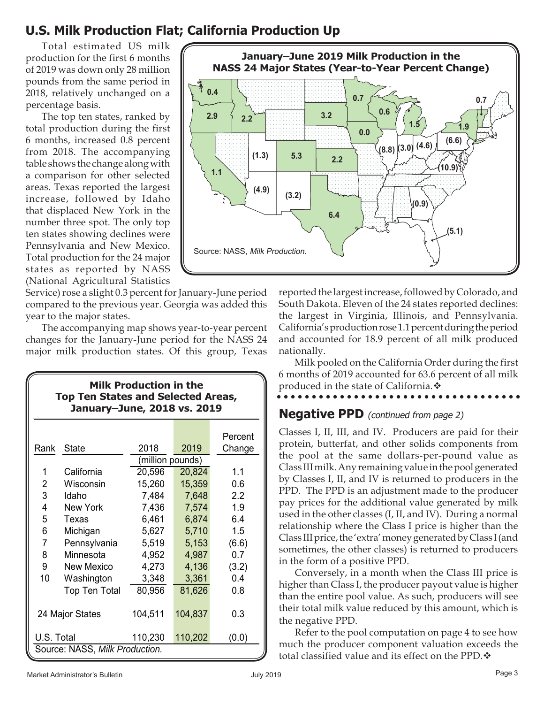## **U.S. Milk Production Flat; California Production Up**

Total estimated US milk production for the first 6 months of 2019 was down only 28 million pounds from the same period in 2018, relatively unchanged on a percentage basis.

The top ten states, ranked by total production during the first 6 months, increased 0.8 percent from 2018. The accompanying table shows the change along with a comparison for other selected areas. Texas reported the largest increase, followed by Idaho that displaced New York in the number three spot. The only top ten states showing declines were Pennsylvania and New Mexico. Total production for the 24 major states as reported by NASS (National Agricultural Statistics

Service) rose a slight 0.3 percent for January-June period compared to the previous year. Georgia was added this year to the major states.

The accompanying map shows year-to-year percent changes for the January-June period for the NASS 24 major milk production states. Of this group, Texas

| <b>Milk Production in the</b><br><b>Top Ten States and Selected Areas,</b><br>January-June, 2018 vs. 2019 |  |
|-----------------------------------------------------------------------------------------------------------|--|
|                                                                                                           |  |

|                                |                      |                  |         | Percent          |  |
|--------------------------------|----------------------|------------------|---------|------------------|--|
| Rank                           | <b>State</b>         | 2018             | 2019    | Change           |  |
|                                |                      | (million pounds) |         |                  |  |
| 1                              | California           | 20,596           | 20,824  | 1.1              |  |
| 2                              | Wisconsin            | 15,260           | 15,359  | 0.6              |  |
| 3                              | Idaho                | 7,484            | 7,648   | $2.2\phantom{0}$ |  |
| 4                              | New York             | 7,436            | 7,574   | 1.9              |  |
| 5                              | Texas                | 6,461            | 6,874   | 6.4              |  |
| 6                              | Michigan             | 5,627            | 5,710   | 1.5              |  |
| 7                              | Pennsylvania         | 5,519            | 5,153   | (6.6)            |  |
| 8                              | Minnesota            | 4,952            | 4,987   | 0.7              |  |
| 9                              | New Mexico           | 4,273            | 4,136   | (3.2)            |  |
| 10                             | Washington           | 3,348            | 3,361   | 0.4              |  |
|                                | <b>Top Ten Total</b> | 80,956           | 81,626  | 0.8              |  |
|                                |                      |                  |         |                  |  |
|                                | 24 Major States      | 104,511          | 104,837 | 0.3              |  |
|                                |                      |                  |         |                  |  |
| U.S. Total                     |                      | 110,230          | 110,202 | (0.0)            |  |
| Source: NASS, Milk Production. |                      |                  |         |                  |  |



reported the largest increase, followed by Colorado, and South Dakota. Eleven of the 24 states reported declines: the largest in Virginia, Illinois, and Pennsylvania. California's production rose 1.1 percent during the period and accounted for 18.9 percent of all milk produced nationally.

Milk pooled on the California Order during the first 6 months of 2019 accounted for 63.6 percent of all milk **produced in the state of California.** 

#### **Negative PPD** (continued from page 2)

Classes I, II, III, and IV. Producers are paid for their protein, butterfat, and other solids components from the pool at the same dollars-per-pound value as Class III milk. Any remaining value in the pool generated by Classes I, II, and IV is returned to producers in the PPD. The PPD is an adjustment made to the producer pay prices for the additional value generated by milk used in the other classes (I, II, and IV). During a normal relationship where the Class I price is higher than the Class III price, the 'extra' money generated by Class I (and sometimes, the other classes) is returned to producers in the form of a positive PPD.

Conversely, in a month when the Class III price is higher than Class I, the producer payout value is higher than the entire pool value. As such, producers will see their total milk value reduced by this amount, which is the negative PPD.

Refer to the pool computation on page 4 to see how much the producer component valuation exceeds the total classified value and its effect on the PPD.  $\clubsuit$